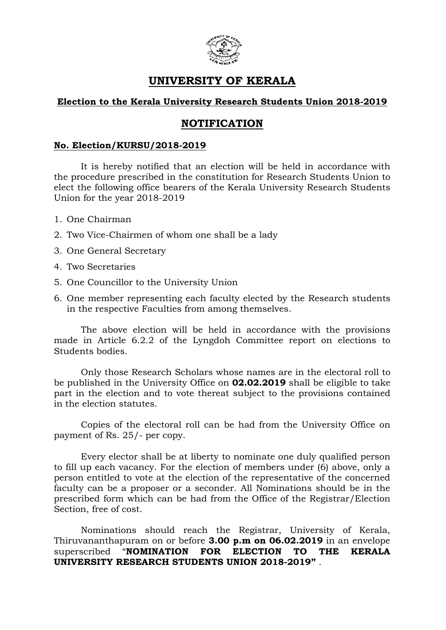

# **UNIVERSITY OF KERALA**

### **Election to the Kerala University Research Students Union 2018-2019**

## **NOTIFICATION**

#### **No. Election/KURSU/2018-2019**

It is hereby notified that an election will be held in accordance with the procedure prescribed in the constitution for Research Students Union to elect the following office bearers of the Kerala University Research Students Union for the year 2018-2019

- 1. One Chairman
- 2. Two Vice-Chairmen of whom one shall be a lady
- 3. One General Secretary
- 4. Two Secretaries
- 5. One Councillor to the University Union
- 6. One member representing each faculty elected by the Research students in the respective Faculties from among themselves.

The above election will be held in accordance with the provisions made in Article 6.2.2 of the Lyngdoh Committee report on elections to Students bodies.

Only those Research Scholars whose names are in the electoral roll to be published in the University Office on **02.02.2019** shall be eligible to take part in the election and to vote thereat subject to the provisions contained in the election statutes.

Copies of the electoral roll can be had from the University Office on payment of Rs. 25/- per copy.

Every elector shall be at liberty to nominate one duly qualified person to fill up each vacancy. For the election of members under (6) above, only a person entitled to vote at the election of the representative of the concerned faculty can be a proposer or a seconder. All Nominations should be in the prescribed form which can be had from the Office of the Registrar/Election Section, free of cost.

Nominations should reach the Registrar, University of Kerala, Thiruvananthapuram on or before **3.00 p.m on 06.02.2019** in an envelope superscribed "**NOMINATION FOR ELECTION TO THE KERALA UNIVERSITY RESEARCH STUDENTS UNION 2018-2019"** .